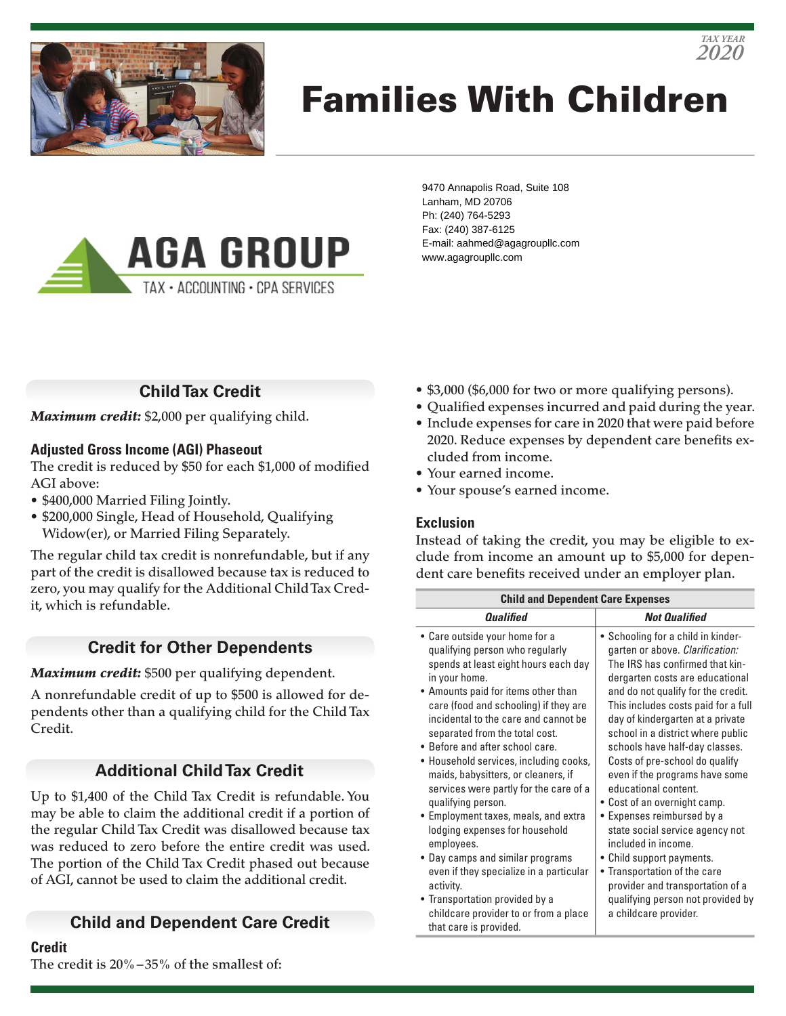

# Families With Children



9470 Annapolis Road, Suite 108 Lanham, MD 20706 Ph: (240) 764-5293 Fax: (240) 387-6125 E-mail: aahmed@agagroupllc.com www.agagroupllc.com

# **Child Tax Credit**

*Maximum credit:* \$2,000 per qualifying child.

### **Adjusted Gross Income (AGI) Phaseout**

The credit is reduced by \$50 for each \$1,000 of modified AGI above:

- \$400,000 Married Filing Jointly.
- \$200,000 Single, Head of Household, Qualifying Widow(er), or Married Filing Separately.

The regular child tax credit is nonrefundable, but if any part of the credit is disallowed because tax is reduced to zero, you may qualify for the Additional Child Tax Credit, which is refundable.

# **Credit for Other Dependents**

### *Maximum credit:* \$500 per qualifying dependent.

A nonrefundable credit of up to \$500 is allowed for dependents other than a qualifying child for the Child Tax Credit.

# **Additional Child Tax Credit**

Up to \$1,400 of the Child Tax Credit is refundable. You may be able to claim the additional credit if a portion of the regular Child Tax Credit was disallowed because tax was reduced to zero before the entire credit was used. The portion of the Child Tax Credit phased out because of AGI, cannot be used to claim the additional credit.

# **Child and Dependent Care Credit**

#### **Credit**

The credit is 20%–35% of the smallest of:

- \$3,000 (\$6,000 for two or more qualifying persons).
- Qualified expenses incurred and paid during the year.

*2020 TAX YEAR*

- Include expenses for care in 2020 that were paid before 2020. Reduce expenses by dependent care benefits excluded from income.
- Your earned income.
- Your spouse's earned income.

### **Exclusion**

Instead of taking the credit, you may be eligible to exclude from income an amount up to \$5,000 for dependent care benefits received under an employer plan.

| <b>Child and Dependent Care Expenses</b>                                                                                                                                                                                                                                                                                                                                                                                                                                                                                                                                                                                                                                                                                                                          |                                                                                                                                                                                                                                                                                                                                                                                                                                                                                                                                                                                                                                                                                                                        |
|-------------------------------------------------------------------------------------------------------------------------------------------------------------------------------------------------------------------------------------------------------------------------------------------------------------------------------------------------------------------------------------------------------------------------------------------------------------------------------------------------------------------------------------------------------------------------------------------------------------------------------------------------------------------------------------------------------------------------------------------------------------------|------------------------------------------------------------------------------------------------------------------------------------------------------------------------------------------------------------------------------------------------------------------------------------------------------------------------------------------------------------------------------------------------------------------------------------------------------------------------------------------------------------------------------------------------------------------------------------------------------------------------------------------------------------------------------------------------------------------------|
| <i><b>Qualified</b></i>                                                                                                                                                                                                                                                                                                                                                                                                                                                                                                                                                                                                                                                                                                                                           | <b>Not Qualified</b>                                                                                                                                                                                                                                                                                                                                                                                                                                                                                                                                                                                                                                                                                                   |
| • Care outside your home for a<br>qualifying person who regularly<br>spends at least eight hours each day<br>in your home.<br>• Amounts paid for items other than<br>care (food and schooling) if they are<br>incidental to the care and cannot be<br>separated from the total cost.<br>• Before and after school care.<br>• Household services, including cooks,<br>maids, babysitters, or cleaners, if<br>services were partly for the care of a<br>qualifying person.<br>• Employment taxes, meals, and extra<br>lodging expenses for household<br>employees.<br>• Day camps and similar programs<br>even if they specialize in a particular<br>activity.<br>• Transportation provided by a<br>childcare provider to or from a place<br>that care is provided. | • Schooling for a child in kinder-<br>garten or above. Clarification:<br>The IRS has confirmed that kin-<br>dergarten costs are educational<br>and do not qualify for the credit.<br>This includes costs paid for a full<br>day of kindergarten at a private<br>school in a district where public<br>schools have half-day classes.<br>Costs of pre-school do qualify<br>even if the programs have some<br>educational content.<br>• Cost of an overnight camp.<br>• Expenses reimbursed by a<br>state social service agency not<br>included in income.<br>• Child support payments.<br>• Transportation of the care<br>provider and transportation of a<br>qualifying person not provided by<br>a childcare provider. |